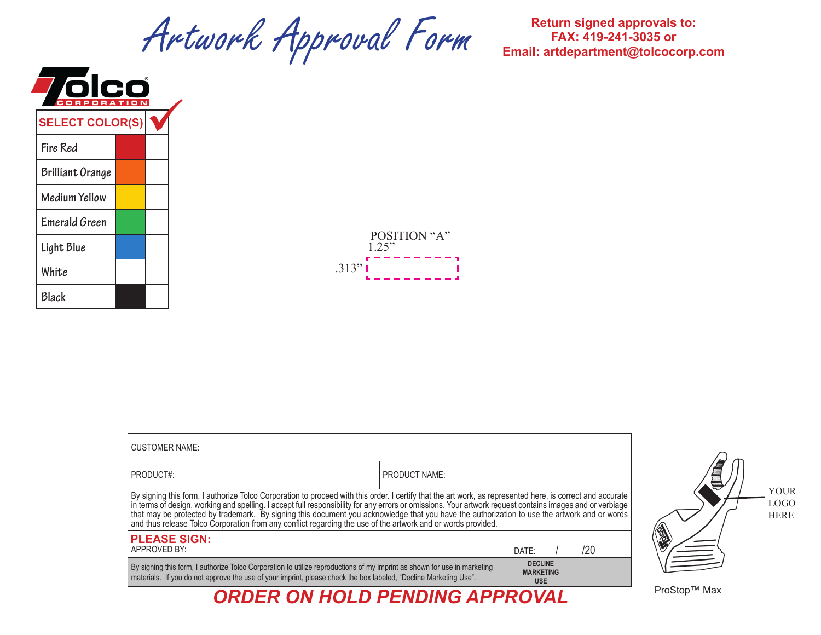## Artwork Approval Form **Return signed approvals to: Approval Form Return signed approvals to: RAX: 419-241-3035 or**

**FAX: 419-241-3035 or Email: artdepartment@tolcocorp.com**

| $\mathbf C$<br><b>RATI</b> |                         |  |  |  |
|----------------------------|-------------------------|--|--|--|
|                            | <b>SELECT COLOR(S)</b>  |  |  |  |
|                            | Fire Red                |  |  |  |
|                            | <b>Brilliant Orange</b> |  |  |  |
|                            | <b>Medium Yellow</b>    |  |  |  |
|                            | <b>Emerald Green</b>    |  |  |  |
|                            | Light Blue              |  |  |  |
|                            | White                   |  |  |  |
|                            | Black                   |  |  |  |



| <b>CUSTOMER NAME:</b>                                                                                                                                                                                                                                                                                                                                                                                                                                                                                                                                                                 |                      |                                                  |     |  |
|---------------------------------------------------------------------------------------------------------------------------------------------------------------------------------------------------------------------------------------------------------------------------------------------------------------------------------------------------------------------------------------------------------------------------------------------------------------------------------------------------------------------------------------------------------------------------------------|----------------------|--------------------------------------------------|-----|--|
| PRODUCT#:                                                                                                                                                                                                                                                                                                                                                                                                                                                                                                                                                                             | <b>PRODUCT NAME:</b> |                                                  |     |  |
| By signing this form, I authorize Tolco Corporation to proceed with this order. I certify that the art work, as represented here, is correct and accurate<br>in terms of design, working and spelling. I accept full responsibility for any errors or omissions. Your artwork request contains images and or verbiage<br>that may be protected by trademark. By signing this document you acknowledge that you have the authorization to use the artwork and or words<br>and thus release Tolco Corporation from any conflict regarding the use of the artwork and or words provided. |                      |                                                  |     |  |
| <b>PLEASE SIGN:</b><br>APPROVED BY:                                                                                                                                                                                                                                                                                                                                                                                                                                                                                                                                                   |                      | DATF:                                            | /20 |  |
| By signing this form, I authorize Tolco Corporation to utilize reproductions of my imprint as shown for use in marketing<br>materials. If you do not approve the use of your imprint, please check the box labeled, "Decline Marketing Use".                                                                                                                                                                                                                                                                                                                                          |                      | <b>DECLINE</b><br><b>MARKETING</b><br><b>USE</b> |     |  |
| <b>ORDER ON HOLD PENDING APPROVAL</b>                                                                                                                                                                                                                                                                                                                                                                                                                                                                                                                                                 |                      |                                                  |     |  |



ProStop™ Max